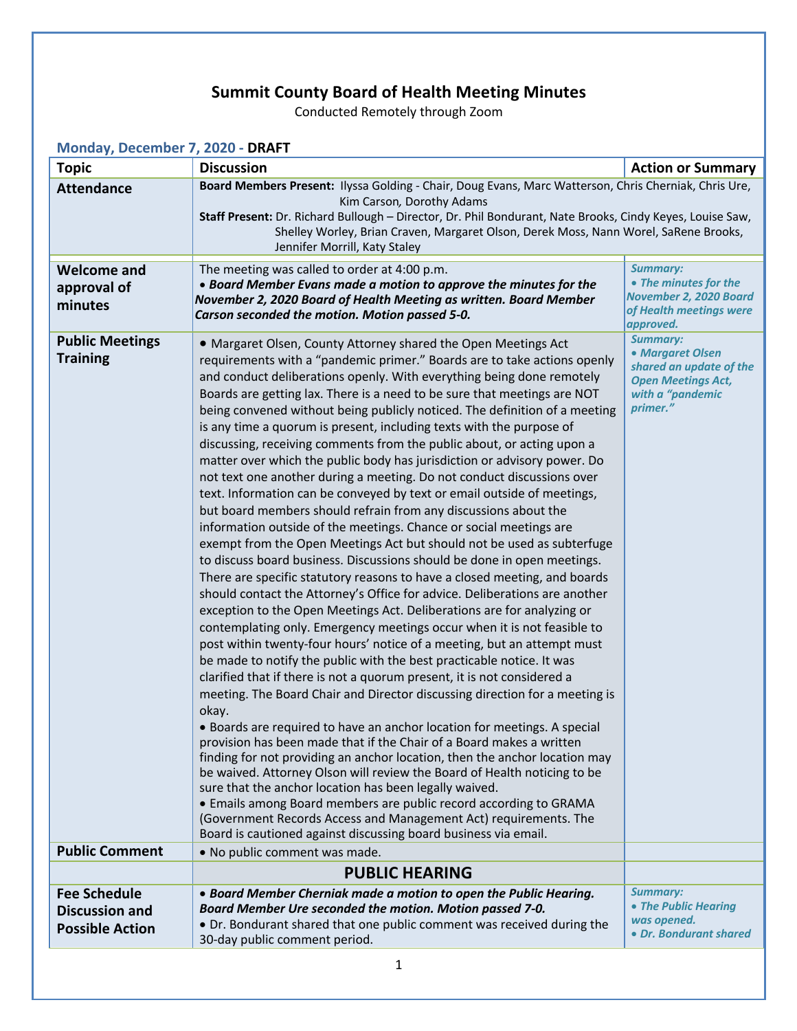## **Summit County Board of Health Meeting Minutes**

Conducted Remotely through Zoom

| Monday, December 7, 2020 - DRAFT                                       |                                                                                                                                                                                                                                                                                                                                                                                                                                                                                                                                                                                                                                                                                                                                                                                                                                                                                                                                                                                                                                                                                                                                                                                                                                                                                                                                                                                                                                                                                                                                                                                                                                                                                                                                                                                                                                                                                                                                                                                                                                                                                                                                                                                                                                                                                                                            |                                                                                                                             |  |  |
|------------------------------------------------------------------------|----------------------------------------------------------------------------------------------------------------------------------------------------------------------------------------------------------------------------------------------------------------------------------------------------------------------------------------------------------------------------------------------------------------------------------------------------------------------------------------------------------------------------------------------------------------------------------------------------------------------------------------------------------------------------------------------------------------------------------------------------------------------------------------------------------------------------------------------------------------------------------------------------------------------------------------------------------------------------------------------------------------------------------------------------------------------------------------------------------------------------------------------------------------------------------------------------------------------------------------------------------------------------------------------------------------------------------------------------------------------------------------------------------------------------------------------------------------------------------------------------------------------------------------------------------------------------------------------------------------------------------------------------------------------------------------------------------------------------------------------------------------------------------------------------------------------------------------------------------------------------------------------------------------------------------------------------------------------------------------------------------------------------------------------------------------------------------------------------------------------------------------------------------------------------------------------------------------------------------------------------------------------------------------------------------------------------|-----------------------------------------------------------------------------------------------------------------------------|--|--|
| <b>Topic</b>                                                           | <b>Discussion</b>                                                                                                                                                                                                                                                                                                                                                                                                                                                                                                                                                                                                                                                                                                                                                                                                                                                                                                                                                                                                                                                                                                                                                                                                                                                                                                                                                                                                                                                                                                                                                                                                                                                                                                                                                                                                                                                                                                                                                                                                                                                                                                                                                                                                                                                                                                          | <b>Action or Summary</b>                                                                                                    |  |  |
| <b>Attendance</b>                                                      | Board Members Present: Ilyssa Golding - Chair, Doug Evans, Marc Watterson, Chris Cherniak, Chris Ure,<br>Kim Carson, Dorothy Adams<br>Staff Present: Dr. Richard Bullough - Director, Dr. Phil Bondurant, Nate Brooks, Cindy Keyes, Louise Saw,<br>Shelley Worley, Brian Craven, Margaret Olson, Derek Moss, Nann Worel, SaRene Brooks,<br>Jennifer Morrill, Katy Staley                                                                                                                                                                                                                                                                                                                                                                                                                                                                                                                                                                                                                                                                                                                                                                                                                                                                                                                                                                                                                                                                                                                                                                                                                                                                                                                                                                                                                                                                                                                                                                                                                                                                                                                                                                                                                                                                                                                                                   |                                                                                                                             |  |  |
| <b>Welcome and</b><br>approval of<br>minutes                           | The meeting was called to order at 4:00 p.m.<br>• Board Member Evans made a motion to approve the minutes for the<br>November 2, 2020 Board of Health Meeting as written. Board Member<br>Carson seconded the motion. Motion passed 5-0.                                                                                                                                                                                                                                                                                                                                                                                                                                                                                                                                                                                                                                                                                                                                                                                                                                                                                                                                                                                                                                                                                                                                                                                                                                                                                                                                                                                                                                                                                                                                                                                                                                                                                                                                                                                                                                                                                                                                                                                                                                                                                   | <b>Summary:</b><br>• The minutes for the<br>November 2, 2020 Board<br>of Health meetings were<br>approved.                  |  |  |
| <b>Public Meetings</b><br><b>Training</b><br><b>Public Comment</b>     | • Margaret Olsen, County Attorney shared the Open Meetings Act<br>requirements with a "pandemic primer." Boards are to take actions openly<br>and conduct deliberations openly. With everything being done remotely<br>Boards are getting lax. There is a need to be sure that meetings are NOT<br>being convened without being publicly noticed. The definition of a meeting<br>is any time a quorum is present, including texts with the purpose of<br>discussing, receiving comments from the public about, or acting upon a<br>matter over which the public body has jurisdiction or advisory power. Do<br>not text one another during a meeting. Do not conduct discussions over<br>text. Information can be conveyed by text or email outside of meetings,<br>but board members should refrain from any discussions about the<br>information outside of the meetings. Chance or social meetings are<br>exempt from the Open Meetings Act but should not be used as subterfuge<br>to discuss board business. Discussions should be done in open meetings.<br>There are specific statutory reasons to have a closed meeting, and boards<br>should contact the Attorney's Office for advice. Deliberations are another<br>exception to the Open Meetings Act. Deliberations are for analyzing or<br>contemplating only. Emergency meetings occur when it is not feasible to<br>post within twenty-four hours' notice of a meeting, but an attempt must<br>be made to notify the public with the best practicable notice. It was<br>clarified that if there is not a quorum present, it is not considered a<br>meeting. The Board Chair and Director discussing direction for a meeting is<br>okay.<br>• Boards are required to have an anchor location for meetings. A special<br>provision has been made that if the Chair of a Board makes a written<br>finding for not providing an anchor location, then the anchor location may<br>be waived. Attorney Olson will review the Board of Health noticing to be<br>sure that the anchor location has been legally waived.<br>• Emails among Board members are public record according to GRAMA<br>(Government Records Access and Management Act) requirements. The<br>Board is cautioned against discussing board business via email.<br>• No public comment was made. | <b>Summary:</b><br>• Margaret Olsen<br>shared an update of the<br><b>Open Meetings Act,</b><br>with a "pandemic<br>primer." |  |  |
|                                                                        |                                                                                                                                                                                                                                                                                                                                                                                                                                                                                                                                                                                                                                                                                                                                                                                                                                                                                                                                                                                                                                                                                                                                                                                                                                                                                                                                                                                                                                                                                                                                                                                                                                                                                                                                                                                                                                                                                                                                                                                                                                                                                                                                                                                                                                                                                                                            |                                                                                                                             |  |  |
|                                                                        | <b>PUBLIC HEARING</b>                                                                                                                                                                                                                                                                                                                                                                                                                                                                                                                                                                                                                                                                                                                                                                                                                                                                                                                                                                                                                                                                                                                                                                                                                                                                                                                                                                                                                                                                                                                                                                                                                                                                                                                                                                                                                                                                                                                                                                                                                                                                                                                                                                                                                                                                                                      |                                                                                                                             |  |  |
| <b>Fee Schedule</b><br><b>Discussion and</b><br><b>Possible Action</b> | • Board Member Cherniak made a motion to open the Public Hearing.<br>Board Member Ure seconded the motion. Motion passed 7-0.<br>• Dr. Bondurant shared that one public comment was received during the<br>30-day public comment period.                                                                                                                                                                                                                                                                                                                                                                                                                                                                                                                                                                                                                                                                                                                                                                                                                                                                                                                                                                                                                                                                                                                                                                                                                                                                                                                                                                                                                                                                                                                                                                                                                                                                                                                                                                                                                                                                                                                                                                                                                                                                                   | <b>Summary:</b><br>• The Public Hearing<br>was opened.<br>• Dr. Bondurant shared                                            |  |  |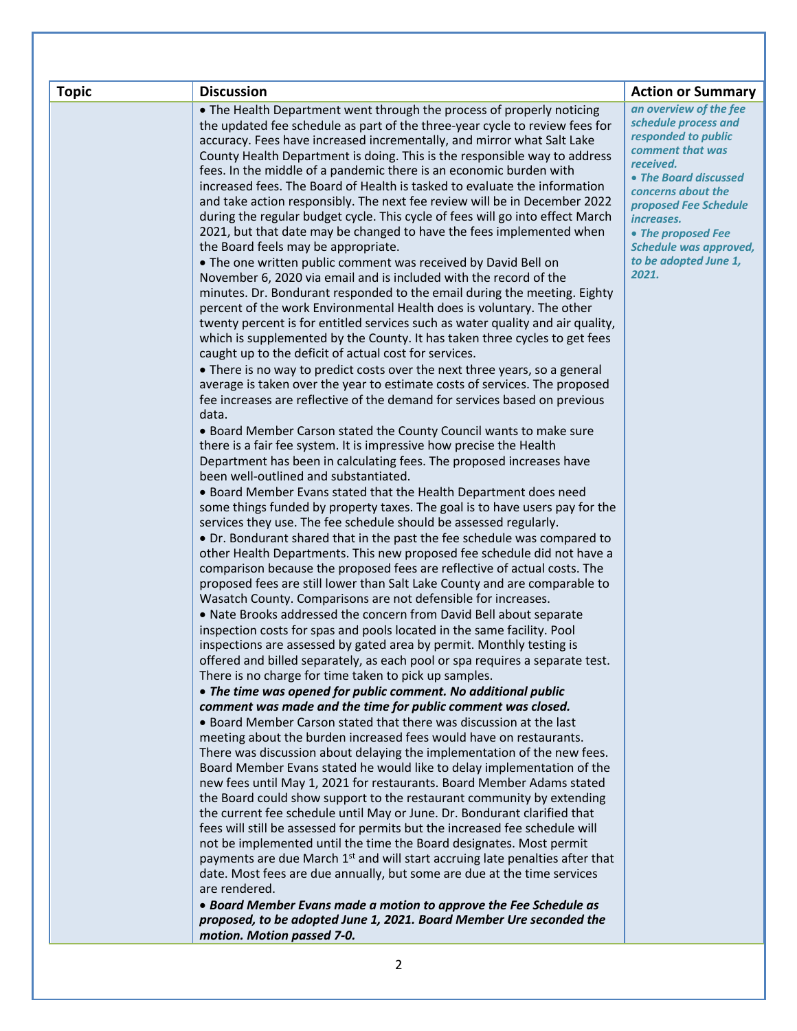| <b>Topic</b> | <b>Discussion</b>                                                                                                                                                   | <b>Action or Summary</b>                    |
|--------------|---------------------------------------------------------------------------------------------------------------------------------------------------------------------|---------------------------------------------|
|              | • The Health Department went through the process of properly noticing                                                                                               | an overview of the fee                      |
|              | the updated fee schedule as part of the three-year cycle to review fees for                                                                                         | schedule process and<br>responded to public |
|              | accuracy. Fees have increased incrementally, and mirror what Salt Lake                                                                                              | comment that was                            |
|              | County Health Department is doing. This is the responsible way to address<br>fees. In the middle of a pandemic there is an economic burden with                     | received.                                   |
|              | increased fees. The Board of Health is tasked to evaluate the information                                                                                           | • The Board discussed                       |
|              | and take action responsibly. The next fee review will be in December 2022                                                                                           | concerns about the                          |
|              | during the regular budget cycle. This cycle of fees will go into effect March                                                                                       | proposed Fee Schedule<br><i>increases.</i>  |
|              | 2021, but that date may be changed to have the fees implemented when                                                                                                | • The proposed Fee                          |
|              | the Board feels may be appropriate.                                                                                                                                 | <b>Schedule was approved,</b>               |
|              | . The one written public comment was received by David Bell on                                                                                                      | to be adopted June 1,                       |
|              | November 6, 2020 via email and is included with the record of the                                                                                                   | 2021.                                       |
|              | minutes. Dr. Bondurant responded to the email during the meeting. Eighty                                                                                            |                                             |
|              | percent of the work Environmental Health does is voluntary. The other<br>twenty percent is for entitled services such as water quality and air quality,             |                                             |
|              | which is supplemented by the County. It has taken three cycles to get fees                                                                                          |                                             |
|              | caught up to the deficit of actual cost for services.                                                                                                               |                                             |
|              | • There is no way to predict costs over the next three years, so a general                                                                                          |                                             |
|              | average is taken over the year to estimate costs of services. The proposed                                                                                          |                                             |
|              | fee increases are reflective of the demand for services based on previous                                                                                           |                                             |
|              | data.                                                                                                                                                               |                                             |
|              | . Board Member Carson stated the County Council wants to make sure                                                                                                  |                                             |
|              | there is a fair fee system. It is impressive how precise the Health<br>Department has been in calculating fees. The proposed increases have                         |                                             |
|              | been well-outlined and substantiated.                                                                                                                               |                                             |
|              | • Board Member Evans stated that the Health Department does need                                                                                                    |                                             |
|              | some things funded by property taxes. The goal is to have users pay for the                                                                                         |                                             |
|              | services they use. The fee schedule should be assessed regularly.                                                                                                   |                                             |
|              | • Dr. Bondurant shared that in the past the fee schedule was compared to                                                                                            |                                             |
|              | other Health Departments. This new proposed fee schedule did not have a                                                                                             |                                             |
|              | comparison because the proposed fees are reflective of actual costs. The                                                                                            |                                             |
|              | proposed fees are still lower than Salt Lake County and are comparable to<br>Wasatch County. Comparisons are not defensible for increases.                          |                                             |
|              | . Nate Brooks addressed the concern from David Bell about separate                                                                                                  |                                             |
|              | inspection costs for spas and pools located in the same facility. Pool                                                                                              |                                             |
|              | inspections are assessed by gated area by permit. Monthly testing is                                                                                                |                                             |
|              | offered and billed separately, as each pool or spa requires a separate test.                                                                                        |                                             |
|              | There is no charge for time taken to pick up samples.                                                                                                               |                                             |
|              | • The time was opened for public comment. No additional public                                                                                                      |                                             |
|              | comment was made and the time for public comment was closed.                                                                                                        |                                             |
|              | • Board Member Carson stated that there was discussion at the last<br>meeting about the burden increased fees would have on restaurants.                            |                                             |
|              | There was discussion about delaying the implementation of the new fees.                                                                                             |                                             |
|              | Board Member Evans stated he would like to delay implementation of the                                                                                              |                                             |
|              | new fees until May 1, 2021 for restaurants. Board Member Adams stated                                                                                               |                                             |
|              | the Board could show support to the restaurant community by extending                                                                                               |                                             |
|              | the current fee schedule until May or June. Dr. Bondurant clarified that                                                                                            |                                             |
|              | fees will still be assessed for permits but the increased fee schedule will                                                                                         |                                             |
|              | not be implemented until the time the Board designates. Most permit                                                                                                 |                                             |
|              | payments are due March 1 <sup>st</sup> and will start accruing late penalties after that<br>date. Most fees are due annually, but some are due at the time services |                                             |
|              | are rendered.                                                                                                                                                       |                                             |
|              | • Board Member Evans made a motion to approve the Fee Schedule as                                                                                                   |                                             |
|              | proposed, to be adopted June 1, 2021. Board Member Ure seconded the                                                                                                 |                                             |
|              | motion. Motion passed 7-0.                                                                                                                                          |                                             |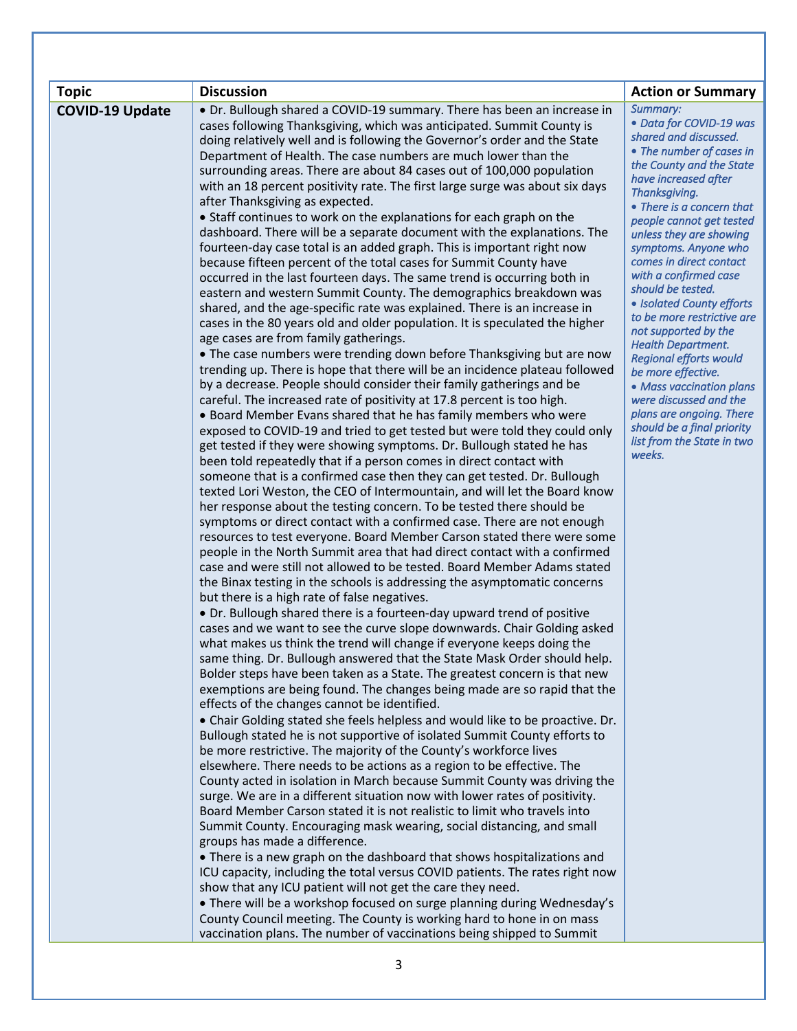| <b>Topic</b>           | <b>Discussion</b>                                                                                                                                      | <b>Action or Summary</b>                                   |
|------------------------|--------------------------------------------------------------------------------------------------------------------------------------------------------|------------------------------------------------------------|
| <b>COVID-19 Update</b> | • Dr. Bullough shared a COVID-19 summary. There has been an increase in                                                                                | Summary:                                                   |
|                        | cases following Thanksgiving, which was anticipated. Summit County is                                                                                  | · Data for COVID-19 was                                    |
|                        | doing relatively well and is following the Governor's order and the State                                                                              | shared and discussed.                                      |
|                        | Department of Health. The case numbers are much lower than the                                                                                         | • The number of cases in<br>the County and the State       |
|                        | surrounding areas. There are about 84 cases out of 100,000 population                                                                                  | have increased after                                       |
|                        | with an 18 percent positivity rate. The first large surge was about six days                                                                           | Thanksgiving.                                              |
|                        | after Thanksgiving as expected.                                                                                                                        | • There is a concern that                                  |
|                        | • Staff continues to work on the explanations for each graph on the                                                                                    | people cannot get tested                                   |
|                        | dashboard. There will be a separate document with the explanations. The                                                                                | unless they are showing                                    |
|                        | fourteen-day case total is an added graph. This is important right now<br>because fifteen percent of the total cases for Summit County have            | symptoms. Anyone who<br>comes in direct contact            |
|                        | occurred in the last fourteen days. The same trend is occurring both in                                                                                | with a confirmed case                                      |
|                        | eastern and western Summit County. The demographics breakdown was                                                                                      | should be tested.                                          |
|                        | shared, and the age-specific rate was explained. There is an increase in                                                                               | • Isolated County efforts                                  |
|                        | cases in the 80 years old and older population. It is speculated the higher                                                                            | to be more restrictive are                                 |
|                        | age cases are from family gatherings.                                                                                                                  | not supported by the                                       |
|                        | • The case numbers were trending down before Thanksgiving but are now                                                                                  | <b>Health Department.</b><br><b>Regional efforts would</b> |
|                        | trending up. There is hope that there will be an incidence plateau followed                                                                            | be more effective.                                         |
|                        | by a decrease. People should consider their family gatherings and be                                                                                   | • Mass vaccination plans                                   |
|                        | careful. The increased rate of positivity at 17.8 percent is too high.                                                                                 | were discussed and the                                     |
|                        | • Board Member Evans shared that he has family members who were                                                                                        | plans are ongoing. There                                   |
|                        | exposed to COVID-19 and tried to get tested but were told they could only                                                                              | should be a final priority<br>list from the State in two   |
|                        | get tested if they were showing symptoms. Dr. Bullough stated he has                                                                                   | weeks.                                                     |
|                        | been told repeatedly that if a person comes in direct contact with                                                                                     |                                                            |
|                        | someone that is a confirmed case then they can get tested. Dr. Bullough<br>texted Lori Weston, the CEO of Intermountain, and will let the Board know   |                                                            |
|                        | her response about the testing concern. To be tested there should be                                                                                   |                                                            |
|                        | symptoms or direct contact with a confirmed case. There are not enough                                                                                 |                                                            |
|                        | resources to test everyone. Board Member Carson stated there were some                                                                                 |                                                            |
|                        | people in the North Summit area that had direct contact with a confirmed                                                                               |                                                            |
|                        | case and were still not allowed to be tested. Board Member Adams stated                                                                                |                                                            |
|                        | the Binax testing in the schools is addressing the asymptomatic concerns                                                                               |                                                            |
|                        | but there is a high rate of false negatives.                                                                                                           |                                                            |
|                        | • Dr. Bullough shared there is a fourteen-day upward trend of positive                                                                                 |                                                            |
|                        | cases and we want to see the curve slope downwards. Chair Golding asked<br>what makes us think the trend will change if everyone keeps doing the       |                                                            |
|                        | same thing. Dr. Bullough answered that the State Mask Order should help.                                                                               |                                                            |
|                        | Bolder steps have been taken as a State. The greatest concern is that new                                                                              |                                                            |
|                        | exemptions are being found. The changes being made are so rapid that the                                                                               |                                                            |
|                        | effects of the changes cannot be identified.                                                                                                           |                                                            |
|                        | . Chair Golding stated she feels helpless and would like to be proactive. Dr.                                                                          |                                                            |
|                        | Bullough stated he is not supportive of isolated Summit County efforts to                                                                              |                                                            |
|                        | be more restrictive. The majority of the County's workforce lives                                                                                      |                                                            |
|                        | elsewhere. There needs to be actions as a region to be effective. The                                                                                  |                                                            |
|                        | County acted in isolation in March because Summit County was driving the                                                                               |                                                            |
|                        | surge. We are in a different situation now with lower rates of positivity.<br>Board Member Carson stated it is not realistic to limit who travels into |                                                            |
|                        | Summit County. Encouraging mask wearing, social distancing, and small                                                                                  |                                                            |
|                        | groups has made a difference.                                                                                                                          |                                                            |
|                        | • There is a new graph on the dashboard that shows hospitalizations and                                                                                |                                                            |
|                        | ICU capacity, including the total versus COVID patients. The rates right now                                                                           |                                                            |
|                        | show that any ICU patient will not get the care they need.                                                                                             |                                                            |
|                        | . There will be a workshop focused on surge planning during Wednesday's                                                                                |                                                            |
|                        | County Council meeting. The County is working hard to hone in on mass                                                                                  |                                                            |
|                        | vaccination plans. The number of vaccinations being shipped to Summit                                                                                  |                                                            |